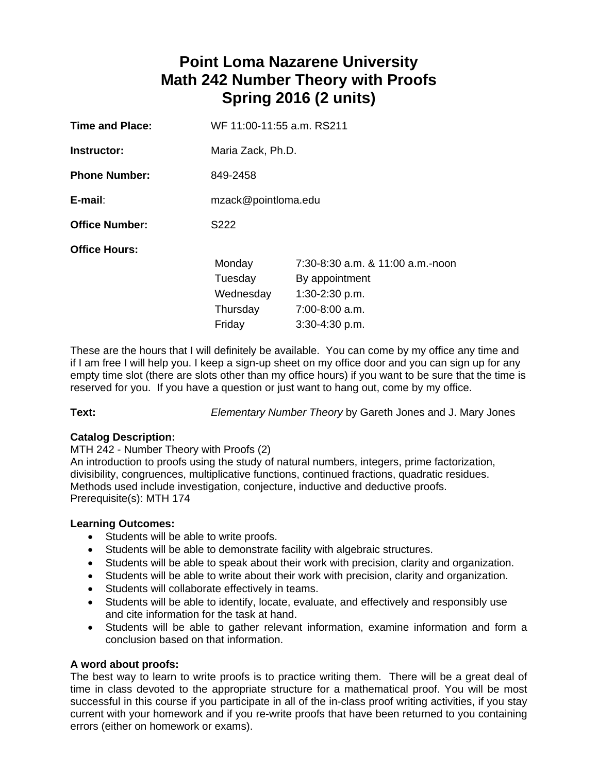# **Point Loma Nazarene University Math 242 Number Theory with Proofs Spring 2016 (2 units)**

| WF 11:00-11:55 a.m. RS211                            |                                                                                                              |  |
|------------------------------------------------------|--------------------------------------------------------------------------------------------------------------|--|
| Maria Zack, Ph.D.                                    |                                                                                                              |  |
| 849-2458                                             |                                                                                                              |  |
| mzack@pointloma.edu                                  |                                                                                                              |  |
| S222                                                 |                                                                                                              |  |
| Monday<br>Tuesday<br>Wednesday<br>Thursday<br>Friday | 7:30-8:30 a.m. & 11:00 a.m.-noon<br>By appointment<br>$1:30-2:30$ p.m.<br>7:00-8:00 a.m.<br>$3:30-4:30$ p.m. |  |
|                                                      |                                                                                                              |  |

These are the hours that I will definitely be available. You can come by my office any time and if I am free I will help you. I keep a sign-up sheet on my office door and you can sign up for any empty time slot (there are slots other than my office hours) if you want to be sure that the time is reserved for you. If you have a question or just want to hang out, come by my office.

**Text:** *Elementary Number Theory* by Gareth Jones and J. Mary Jones

# **Catalog Description:**

MTH 242 - Number Theory with Proofs (2) An introduction to proofs using the study of natural numbers, integers, prime factorization, divisibility, congruences, multiplicative functions, continued fractions, quadratic residues. Methods used include investigation, conjecture, inductive and deductive proofs. Prerequisite(s): MTH 174

# **Learning Outcomes:**

- Students will be able to write proofs.
- Students will be able to demonstrate facility with algebraic structures.
- Students will be able to speak about their work with precision, clarity and organization.
- Students will be able to write about their work with precision, clarity and organization.
- Students will collaborate effectively in teams.
- Students will be able to identify, locate, evaluate, and effectively and responsibly use and cite information for the task at hand.
- Students will be able to gather relevant information, examine information and form a conclusion based on that information.

# **A word about proofs:**

The best way to learn to write proofs is to practice writing them. There will be a great deal of time in class devoted to the appropriate structure for a mathematical proof. You will be most successful in this course if you participate in all of the in-class proof writing activities, if you stay current with your homework and if you re-write proofs that have been returned to you containing errors (either on homework or exams).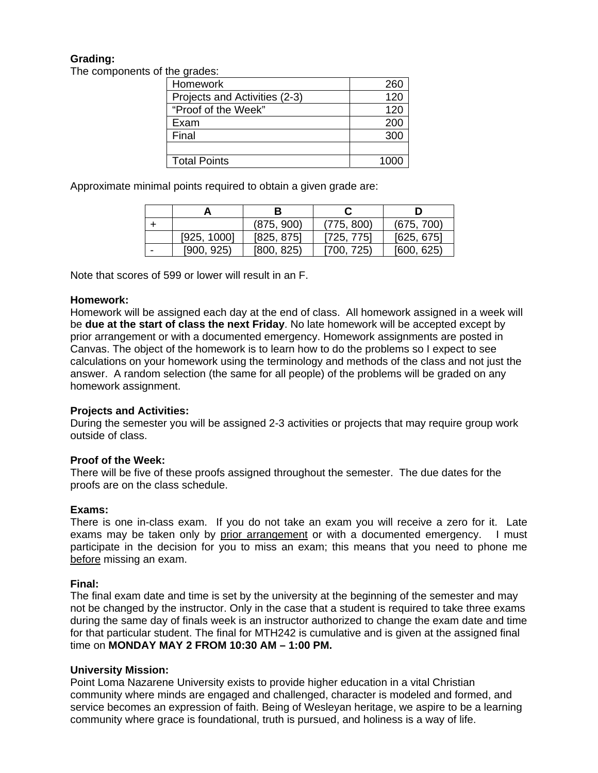# **Grading:**

The components of the grades:

| Homework                      | 260  |
|-------------------------------|------|
| Projects and Activities (2-3) | 120  |
| "Proof of the Week"           | 120  |
| Exam                          | 200  |
| Final                         | 300  |
|                               |      |
| <b>Total Points</b>           | 1000 |

Approximate minimal points required to obtain a given grade are:

|             |            |            | D          |
|-------------|------------|------------|------------|
|             | (875, 900) | (775, 800) | (675, 700) |
| [925, 1000] | [825, 875] | [725, 775] | [625, 675] |
| [900, 925]  | [800, 825] | [700, 725) | [600, 625] |

Note that scores of 599 or lower will result in an F.

#### **Homework:**

Homework will be assigned each day at the end of class. All homework assigned in a week will be **due at the start of class the next Friday**. No late homework will be accepted except by prior arrangement or with a documented emergency. Homework assignments are posted in Canvas. The object of the homework is to learn how to do the problems so I expect to see calculations on your homework using the terminology and methods of the class and not just the answer. A random selection (the same for all people) of the problems will be graded on any homework assignment.

#### **Projects and Activities:**

During the semester you will be assigned 2-3 activities or projects that may require group work outside of class.

#### **Proof of the Week:**

There will be five of these proofs assigned throughout the semester. The due dates for the proofs are on the class schedule.

#### **Exams:**

There is one in-class exam. If you do not take an exam you will receive a zero for it. Late exams may be taken only by prior arrangement or with a documented emergency. I must participate in the decision for you to miss an exam; this means that you need to phone me before missing an exam.

#### **Final:**

The final exam date and time is set by the university at the beginning of the semester and may not be changed by the instructor. Only in the case that a student is required to take three exams during the same day of finals week is an instructor authorized to change the exam date and time for that particular student. The final for MTH242 is cumulative and is given at the assigned final time on **MONDAY MAY 2 FROM 10:30 AM – 1:00 PM.**

#### **University Mission:**

Point Loma Nazarene University exists to provide higher education in a vital Christian community where minds are engaged and challenged, character is modeled and formed, and service becomes an expression of faith. Being of Wesleyan heritage, we aspire to be a learning community where grace is foundational, truth is pursued, and holiness is a way of life.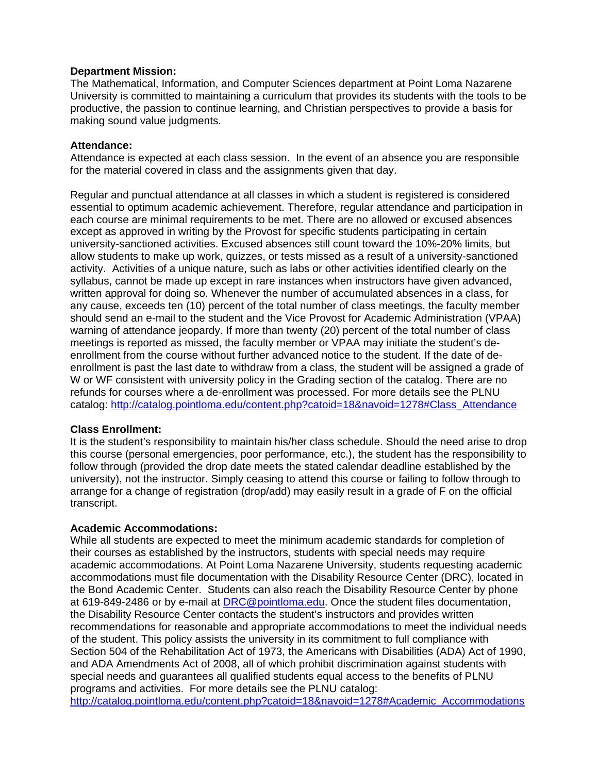### **Department Mission:**

The Mathematical, Information, and Computer Sciences department at Point Loma Nazarene University is committed to maintaining a curriculum that provides its students with the tools to be productive, the passion to continue learning, and Christian perspectives to provide a basis for making sound value judgments.

## **Attendance:**

Attendance is expected at each class session. In the event of an absence you are responsible for the material covered in class and the assignments given that day.

Regular and punctual attendance at all classes in which a student is registered is considered essential to optimum academic achievement. Therefore, regular attendance and participation in each course are minimal requirements to be met. There are no allowed or excused absences except as approved in writing by the Provost for specific students participating in certain university-sanctioned activities. Excused absences still count toward the 10%-20% limits, but allow students to make up work, quizzes, or tests missed as a result of a university-sanctioned activity. Activities of a unique nature, such as labs or other activities identified clearly on the syllabus, cannot be made up except in rare instances when instructors have given advanced, written approval for doing so. Whenever the number of accumulated absences in a class, for any cause, exceeds ten (10) percent of the total number of class meetings, the faculty member should send an e-mail to the student and the Vice Provost for Academic Administration (VPAA) warning of attendance jeopardy. If more than twenty (20) percent of the total number of class meetings is reported as missed, the faculty member or VPAA may initiate the student's deenrollment from the course without further advanced notice to the student. If the date of deenrollment is past the last date to withdraw from a class, the student will be assigned a grade of W or WF consistent with university policy in the Grading section of the catalog. There are no refunds for courses where a de-enrollment was processed. For more details see the PLNU catalog: http://catalog.pointloma.edu/content.php?catoid=18&navoid=1278#Class\_Attendance

# **Class Enrollment:**

It is the student's responsibility to maintain his/her class schedule. Should the need arise to drop this course (personal emergencies, poor performance, etc.), the student has the responsibility to follow through (provided the drop date meets the stated calendar deadline established by the university), not the instructor. Simply ceasing to attend this course or failing to follow through to arrange for a change of registration (drop/add) may easily result in a grade of F on the official transcript.

# **Academic Accommodations:**

While all students are expected to meet the minimum academic standards for completion of their courses as established by the instructors, students with special needs may require academic accommodations. At Point Loma Nazarene University, students requesting academic accommodations must file documentation with the Disability Resource Center (DRC), located in the Bond Academic Center. Students can also reach the Disability Resource Center by phone at 619-849-2486 or by e-mail at DRC@pointloma.edu. Once the student files documentation, the Disability Resource Center contacts the student's instructors and provides written recommendations for reasonable and appropriate accommodations to meet the individual needs of the student. This policy assists the university in its commitment to full compliance with Section 504 of the Rehabilitation Act of 1973, the Americans with Disabilities (ADA) Act of 1990, and ADA Amendments Act of 2008, all of which prohibit discrimination against students with special needs and guarantees all qualified students equal access to the benefits of PLNU programs and activities. For more details see the PLNU catalog:

http://catalog.pointloma.edu/content.php?catoid=18&navoid=1278#Academic\_Accommodations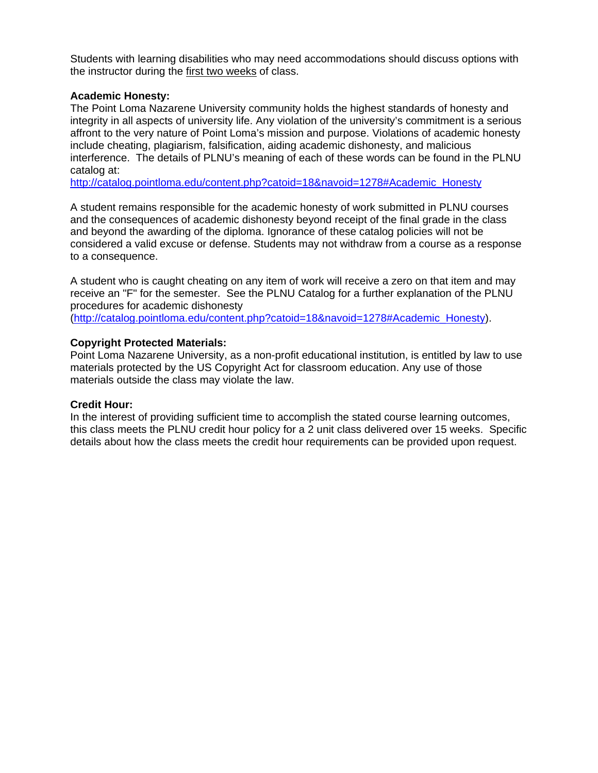Students with learning disabilities who may need accommodations should discuss options with the instructor during the first two weeks of class.

### **Academic Honesty:**

The Point Loma Nazarene University community holds the highest standards of honesty and integrity in all aspects of university life. Any violation of the university's commitment is a serious affront to the very nature of Point Loma's mission and purpose. Violations of academic honesty include cheating, plagiarism, falsification, aiding academic dishonesty, and malicious interference. The details of PLNU's meaning of each of these words can be found in the PLNU catalog at:

http://catalog.pointloma.edu/content.php?catoid=18&navoid=1278#Academic\_Honesty

A student remains responsible for the academic honesty of work submitted in PLNU courses and the consequences of academic dishonesty beyond receipt of the final grade in the class and beyond the awarding of the diploma. Ignorance of these catalog policies will not be considered a valid excuse or defense. Students may not withdraw from a course as a response to a consequence.

A student who is caught cheating on any item of work will receive a zero on that item and may receive an "F" for the semester. See the PLNU Catalog for a further explanation of the PLNU procedures for academic dishonesty

(http://catalog.pointloma.edu/content.php?catoid=18&navoid=1278#Academic\_Honesty).

#### **Copyright Protected Materials:**

Point Loma Nazarene University, as a non-profit educational institution, is entitled by law to use materials protected by the US Copyright Act for classroom education. Any use of those materials outside the class may violate the law.

#### **Credit Hour:**

In the interest of providing sufficient time to accomplish the stated course learning outcomes, this class meets the PLNU credit hour policy for a 2 unit class delivered over 15 weeks. Specific details about how the class meets the credit hour requirements can be provided upon request.